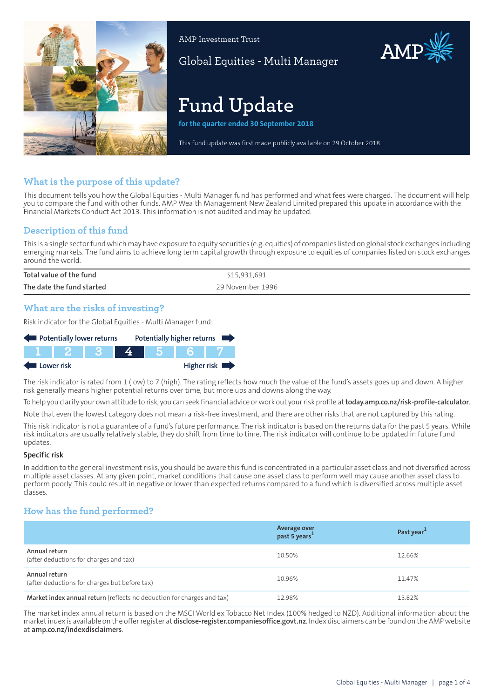

AMP Investment Trust

Global Equities - Multi Manager

# **Fund Update**

**for the quarter ended 30 September 2018**

This fund update was first made publicly available on 29 October 2018

## **What is the purpose of this update?**

This document tells you how the Global Equities - Multi Manager fund has performed and what fees were charged. The document will help you to compare the fund with other funds. AMP Wealth Management New Zealand Limited prepared this update in accordance with the Financial Markets Conduct Act 2013. This information is not audited and may be updated.

## **Description of this fund**

This is a single sectorfund which may have exposure to equity securities (e.g. equities) of companies listed on global stock exchanges including emerging markets. The fund aims to achieve long term capital growth through exposure to equities of companies listed on stock exchanges around the world.

| Total value of the fund   | \$15,931,691     |
|---------------------------|------------------|
| The date the fund started | 29 November 1996 |

## **What are the risks of investing?**

Risk indicator for the Global Equities - Multi Manager fund:

| Potentially lower returns |         |  |  | Potentially higher returns |  |
|---------------------------|---------|--|--|----------------------------|--|
|                           | TIT 2 1 |  |  |                            |  |
| Lower risk                |         |  |  | Higher risk                |  |

The risk indicator is rated from 1 (low) to 7 (high). The rating reflects how much the value of the fund's assets goes up and down. A higher risk generally means higher potential returns over time, but more ups and downs along the way.

To help you clarify your own attitude to risk, you can seek financial advice orwork out yourrisk profile at**[today.amp.co.nz/risk-profile-calculator](http://today.amp.co.nz/risk-profile-calculator)**.

Note that even the lowest category does not mean a risk-free investment, and there are other risks that are not captured by this rating.

This risk indicator is not a guarantee of a fund's future performance. The risk indicator is based on the returns data for the past 5 years. While risk indicators are usually relatively stable, they do shift from time to time. The risk indicator will continue to be updated in future fund updates.

#### **Specific risk**

In addition to the general investmentrisks, you should be aware this fund is concentrated in a particular asset class and not diversified across multiple asset classes. At any given point, market conditions that cause one asset class to perform well may cause another asset class to perform poorly. This could result in negative or lower than expected returns compared to a fund which is diversified across multiple asset classes.

## **How has the fund performed?**

|                                                                        | Average over<br>past 5 years <sup>1</sup> | Past year <sup>1</sup> |
|------------------------------------------------------------------------|-------------------------------------------|------------------------|
| Annual return<br>(after deductions for charges and tax)                | 10.50%                                    | 12.66%                 |
| Annual return<br>(after deductions for charges but before tax)         | 10.96%                                    | 11.47%                 |
| Market index annual return (reflects no deduction for charges and tax) | 12.98%                                    | 13.82%                 |

The market index annual return is based on the MSCI World ex Tobacco Net Index (100% hedged to NZD). Additional information about the marketindex is available on the offerregister at **[disclose-register.companiesoffice.govt.nz](https://disclose-register.companiesoffice.govt.nz/)**. Index disclaimers can be found on the AMP website at **[amp.co.nz/indexdisclaimers](http://amp.co.nz/indexdisclaimers)**.

AMP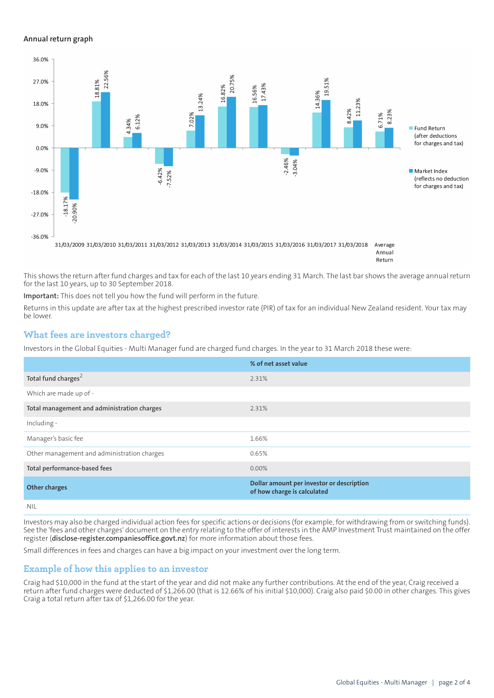#### **Annual return graph**



Annual Return

This shows the return after fund charges and tax for each of the last 10 years ending 31 March. The last bar shows the average annual return for the last 10 years, up to 30 September 2018.

**Important:** This does not tell you how the fund will perform in the future.

Returns in this update are after tax at the highest prescribed investor rate (PIR) of tax for an individual New Zealand resident. Your tax may be lower.

## **What fees are investors charged?**

Investors in the Global Equities - Multi Manager fund are charged fund charges. In the year to 31 March 2018 these were:

|                                             | % of net asset value                                                     |
|---------------------------------------------|--------------------------------------------------------------------------|
| Total fund charges <sup>2</sup>             | 2.31%                                                                    |
| Which are made up of -                      |                                                                          |
| Total management and administration charges | 2.31%                                                                    |
| Including -                                 |                                                                          |
| Manager's basic fee                         | 1.66%                                                                    |
| Other management and administration charges | 0.65%                                                                    |
| Total performance-based fees                | $0.00\%$                                                                 |
| <b>Other charges</b>                        | Dollar amount per investor or description<br>of how charge is calculated |
| NII                                         |                                                                          |

Investors may also be charged individual action fees for specific actions or decisions (for example, for withdrawing from or switching funds). See the 'fees and other charges' document on the entry relating to the offer of interests in the AMP Investment Trust maintained on the offer register (**[disclose-register.companiesoffice.govt.nz](https://disclose-register.companiesoffice.govt.nz/)**) for more information about those fees.

Small differences in fees and charges can have a big impact on your investment over the long term.

## **Example of how this applies to an investor**

Craig had \$10,000 in the fund at the start of the year and did not make any further contributions. At the end of the year, Craig received a return after fund charges were deducted of \$1,266.00 (that is 12.66% of his initial \$10,000). Craig also paid \$0.00 in other charges. This gives Craig a total return after tax of \$1,266.00 for the year.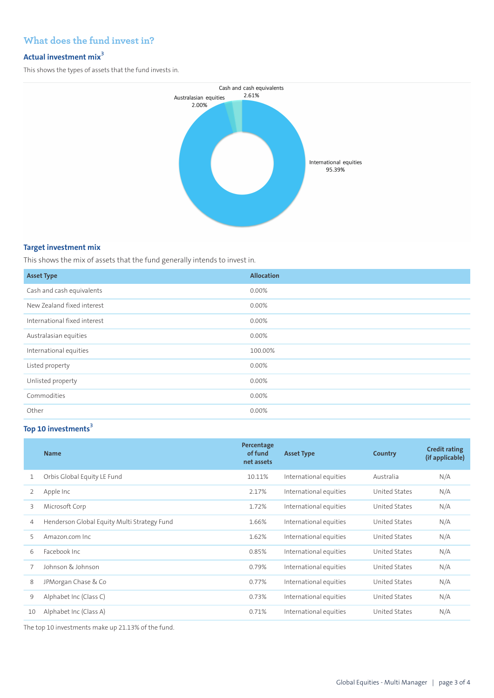## **What does the fund invest in?**

## **Actual investment mix<sup>3</sup>**

This shows the types of assets that the fund invests in.



#### **Target investment mix**

This shows the mix of assets that the fund generally intends to invest in.

| <b>Asset Type</b>            | <b>Allocation</b> |
|------------------------------|-------------------|
| Cash and cash equivalents    | 0.00%             |
| New Zealand fixed interest   | 0.00%             |
| International fixed interest | 0.00%             |
| Australasian equities        | 0.00%             |
| International equities       | 100.00%           |
| Listed property              | 0.00%             |
| Unlisted property            | 0.00%             |
| Commodities                  | 0.00%             |
| Other                        | $0.00\%$          |

## **Top 10 investments<sup>3</sup>**

|    | <b>Name</b>                                 | Percentage<br>of fund<br>net assets | <b>Asset Type</b>      | Country              | <b>Credit rating</b><br>(if applicable) |
|----|---------------------------------------------|-------------------------------------|------------------------|----------------------|-----------------------------------------|
| 1  | Orbis Global Equity LE Fund                 | 10.11%                              | International equities | Australia            | N/A                                     |
| 2  | Apple Inc                                   | 2.17%                               | International equities | United States        | N/A                                     |
| 3  | Microsoft Corp                              | 1.72%                               | International equities | United States        | N/A                                     |
| 4  | Henderson Global Equity Multi Strategy Fund | 1.66%                               | International equities | United States        | N/A                                     |
| 5  | Amazon.com Inc.                             | 1.62%                               | International equities | United States        | N/A                                     |
| 6  | Facebook Inc.                               | 0.85%                               | International equities | United States        | N/A                                     |
|    | Johnson & Johnson                           | 0.79%                               | International equities | <b>United States</b> | N/A                                     |
| 8  | JPMorgan Chase & Co                         | 0.77%                               | International equities | <b>United States</b> | N/A                                     |
| 9  | Alphabet Inc (Class C)                      | 0.73%                               | International equities | United States        | N/A                                     |
| 10 | Alphabet Inc (Class A)                      | 0.71%                               | International equities | United States        | N/A                                     |

The top 10 investments make up 21.13% of the fund.